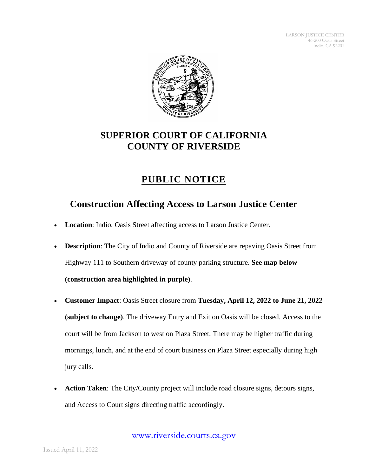

## **SUPERIOR COURT OF CALIFORNIA COUNTY OF RIVERSIDE**

## **PUBLIC NOTICE**

## **Construction Affecting Access to Larson Justice Center**

- **Location**: Indio, Oasis Street affecting access to Larson Justice Center.
- **Description**: The City of Indio and County of Riverside are repaving Oasis Street from Highway 111 to Southern driveway of county parking structure. **See map below (construction area highlighted in purple)**.
- **Customer Impact**: Oasis Street closure from **Tuesday, April 12, 2022 to June 21, 2022 (subject to change)**. The driveway Entry and Exit on Oasis will be closed. Access to the court will be from Jackson to west on Plaza Street. There may be higher traffic during mornings, lunch, and at the end of court business on Plaza Street especially during high jury calls.
- **Action Taken**: The City/County project will include road closure signs, detours signs, and Access to Court signs directing traffic accordingly.

[www.riverside.courts.ca.gov](http://www.riverside.courts.ca.gov/)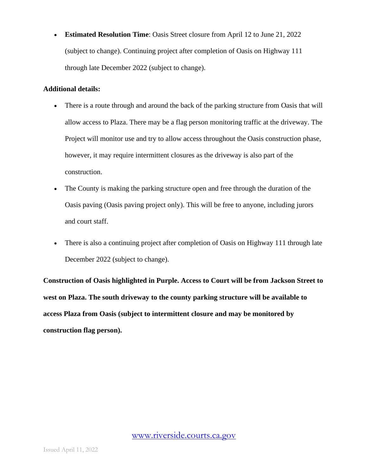• **Estimated Resolution Time**: Oasis Street closure from April 12 to June 21, 2022 (subject to change). Continuing project after completion of Oasis on Highway 111 through late December 2022 (subject to change).

## **Additional details:**

- There is a route through and around the back of the parking structure from Oasis that will allow access to Plaza. There may be a flag person monitoring traffic at the driveway. The Project will monitor use and try to allow access throughout the Oasis construction phase, however, it may require intermittent closures as the driveway is also part of the construction.
- The County is making the parking structure open and free through the duration of the Oasis paving (Oasis paving project only). This will be free to anyone, including jurors and court staff.
- There is also a continuing project after completion of Oasis on Highway 111 through late December 2022 (subject to change).

**Construction of Oasis highlighted in Purple. Access to Court will be from Jackson Street to west on Plaza. The south driveway to the county parking structure will be available to access Plaza from Oasis (subject to intermittent closure and may be monitored by construction flag person).**